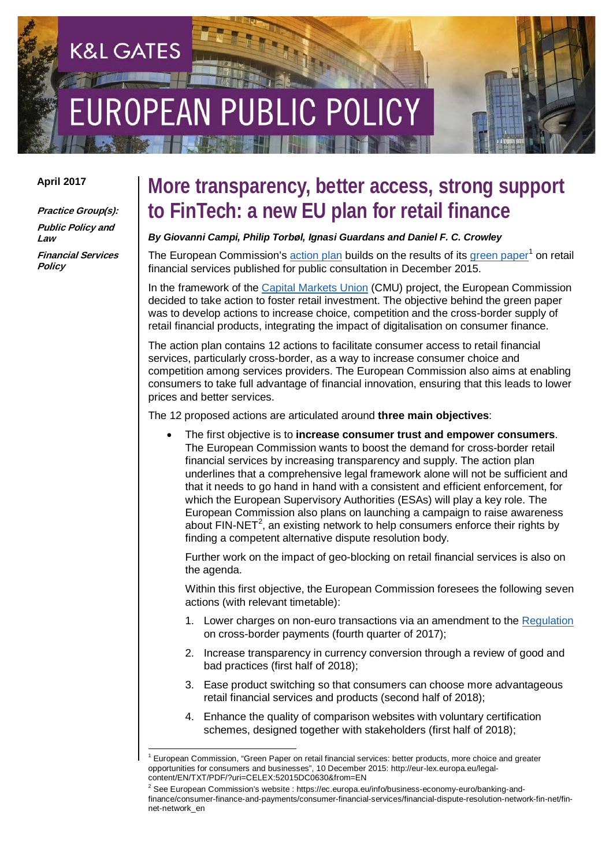# UBLIC POLICY

#### **April 2017**

**Practice Group(s): Public Policy and Law Financial Services Policy**

**K&L GATES** 

### **More transparency, better access, strong support to FinTech: a new EU plan for retail finance**

#### *By Giovanni Campi, Philip Torbøl, Ignasi Guardans and Daniel F. C. Crowley*

The European Commission's action plan builds on the results of its green paper<sup>[1](#page-0-0)</sup> on retail financial services published for public consultation in December 2015.

In the framework of the [Capital Markets Union](http://ec.europa.eu/finance/capital-markets-union/docs/building-cmu-action-plan_en.pdf) (CMU) project, the European Commission decided to take action to foster retail investment. The objective behind the green paper was to develop actions to increase choice, competition and the cross-border supply of retail financial products, integrating the impact of digitalisation on consumer finance.

The action plan contains 12 actions to facilitate consumer access to retail financial services, particularly cross-border, as a way to increase consumer choice and competition among services providers. The European Commission also aims at enabling consumers to take full advantage of financial innovation, ensuring that this leads to lower prices and better services.

The 12 proposed actions are articulated around **three main objectives**:

• The first objective is to **increase consumer trust and empower consumers**. The European Commission wants to boost the demand for cross-border retail financial services by increasing transparency and supply. The action plan underlines that a comprehensive legal framework alone will not be sufficient and that it needs to go hand in hand with a consistent and efficient enforcement, for which the European Supervisory Authorities (ESAs) will play a key role. The European Commission also plans on launching a campaign to raise awareness about  $FIN-NET<sup>2</sup>$  $FIN-NET<sup>2</sup>$  $FIN-NET<sup>2</sup>$ , an existing network to help consumers enforce their rights by finding a competent alternative dispute resolution body.

Further work on the impact of geo-blocking on retail financial services is also on the agenda.

Within this first objective, the European Commission foresees the following seven actions (with relevant timetable):

- 1. Lower charges on non-euro transactions via an amendment to the [Regulation](http://eur-lex.europa.eu/legal-content/EN/TXT/PDF/?uri=CELEX:32009R0924&from=EN) on cross-border payments (fourth quarter of 2017);
- 2. Increase transparency in currency conversion through a review of good and bad practices (first half of 2018);
- 3. Ease product switching so that consumers can choose more advantageous retail financial services and products (second half of 2018);
- 4. Enhance the quality of comparison websites with voluntary certification schemes, designed together with stakeholders (first half of 2018);

<span id="page-0-0"></span><sup>1</sup> European Commission, "Green Paper on retail financial services: better products, more choice and greater opportunities for consumers and businesses", 10 December 2015: http://eur-lex.europa.eu/legalcontent/EN/TXT/PDF/?uri=CELEX:52015DC0630&from=EN

<span id="page-0-1"></span><sup>2</sup> See European Commission's website : https://ec.europa.eu/info/business-economy-euro/banking-andfinance/consumer-finance-and-payments/consumer-financial-services/financial-dispute-resolution-network-fin-net/finnet-network\_en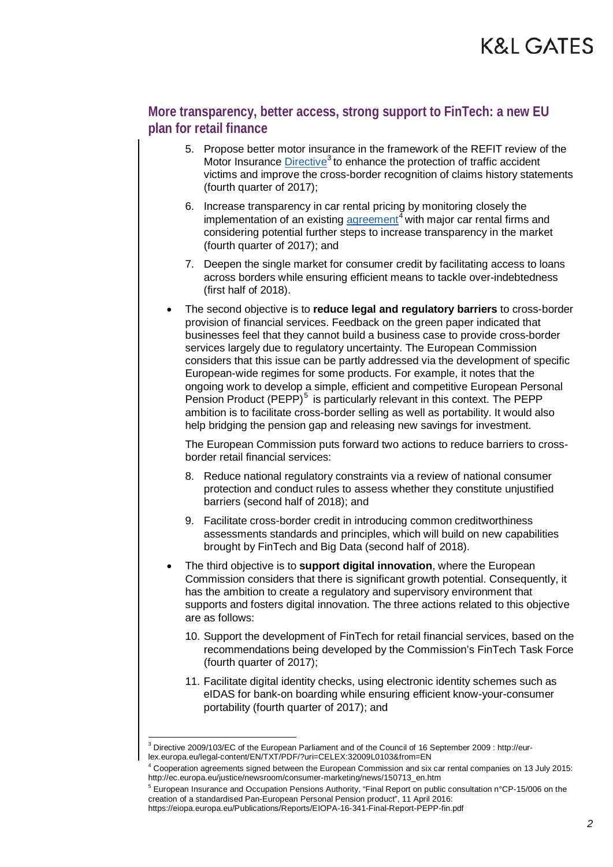#### **More transparency, better access, strong support to FinTech: a new EU plan for retail finance**

- 5. Propose better motor insurance in the framework of the REFIT review of the Motor Insurance Directive<sup>[3](#page-1-0)</sup> to enhance the protection of traffic accident victims and improve the cross-border recognition of claims history statements (fourth quarter of 2017);
- 6. Increase transparency in car rental pricing by monitoring closely the implementation of an existing agreement<sup>[4](#page-1-1)</sup> with major car rental firms and considering potential further steps to increase transparency in the market (fourth quarter of 2017); and
- 7. Deepen the single market for consumer credit by facilitating access to loans across borders while ensuring efficient means to tackle over-indebtedness (first half of 2018).
- The second objective is to **reduce legal and regulatory barriers** to cross-border provision of financial services. Feedback on the green paper indicated that businesses feel that they cannot build a business case to provide cross-border services largely due to regulatory uncertainty. The European Commission considers that this issue can be partly addressed via the development of specific European-wide regimes for some products. For example, it notes that the ongoing work to develop a simple, efficient and competitive European Personal Pension Product  $(PEPP)^5$  $(PEPP)^5$  is particularly relevant in this context. The PEPP ambition is to facilitate cross-border selling as well as portability. It would also help bridging the pension gap and releasing new savings for investment.

The European Commission puts forward two actions to reduce barriers to crossborder retail financial services:

- 8. Reduce national regulatory constraints via a review of national consumer protection and conduct rules to assess whether they constitute unjustified barriers (second half of 2018); and
- 9. Facilitate cross-border credit in introducing common creditworthiness assessments standards and principles, which will build on new capabilities brought by FinTech and Big Data (second half of 2018).
- The third objective is to **support digital innovation**, where the European Commission considers that there is significant growth potential. Consequently, it has the ambition to create a regulatory and supervisory environment that supports and fosters digital innovation. The three actions related to this objective are as follows:
	- 10. Support the development of FinTech for retail financial services, based on the recommendations being developed by the Commission's FinTech Task Force (fourth quarter of 2017);
	- 11. Facilitate digital identity checks, using electronic identity schemes such as eIDAS for bank-on boarding while ensuring efficient know-your-consumer portability (fourth quarter of 2017); and

<span id="page-1-0"></span><sup>3</sup> Directive 2009/103/EC of the European Parliament and of the Council of 16 September 2009 : http://eurlex.europa.eu/legal-content/EN/TXT/PDF/?uri=CELEX:32009L0103&from=EN

<span id="page-1-1"></span><sup>4</sup> Cooperation agreements signed between the European Commission and six car rental companies on 13 July 2015: http://ec.europa.eu/justice/newsroom/consumer-marketing/news/150713\_en.htm

<span id="page-1-2"></span><sup>5</sup> European Insurance and Occupation Pensions Authority, "Final Report on public consultation n°CP-15/006 on the creation of a standardised Pan-European Personal Pension product", 11 April 2016: https://eiopa.europa.eu/Publications/Reports/EIOPA-16-341-Final-Report-PEPP-fin.pdf